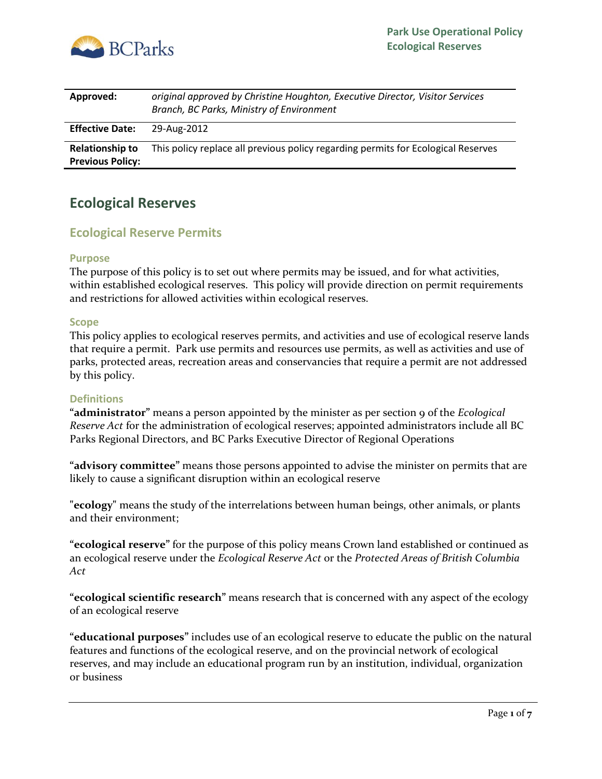

| Approved:                                         | original approved by Christine Houghton, Executive Director, Visitor Services<br>Branch, BC Parks, Ministry of Environment |
|---------------------------------------------------|----------------------------------------------------------------------------------------------------------------------------|
| <b>Effective Date:</b>                            | 29-Aug-2012                                                                                                                |
| <b>Relationship to</b><br><b>Previous Policy:</b> | This policy replace all previous policy regarding permits for Ecological Reserves                                          |

# **Ecological Reserves**

## **Ecological Reserve Permits**

#### **Purpose**

The purpose of this policy is to set out where permits may be issued, and for what activities, within established ecological reserves. This policy will provide direction on permit requirements and restrictions for allowed activities within ecological reserves.

#### **Scope**

This policy applies to ecological reserves permits, and activities and use of ecological reserve lands that require a permit. Park use permits and resources use permits, as well as activities and use of parks, protected areas, recreation areas and conservancies that require a permit are not addressed by this policy.

#### **Definitions**

**"administrator"** means a person appointed by the minister as per section 9 of the *Ecological Reserve Act* for the administration of ecological reserves; appointed administrators include all BC Parks Regional Directors, and BC Parks Executive Director of Regional Operations

**"advisory committee"** means those persons appointed to advise the minister on permits that are likely to cause a significant disruption within an ecological reserve

**"ecology"** means the study of the interrelations between human beings, other animals, or plants and their environment;

**"ecological reserve"** for the purpose of this policy means Crown land established or continued as an ecological reserve under the *Ecological Reserve Act* or the *Protected Areas of British Columbia Act*

**"ecological scientific research"** means research that is concerned with any aspect of the ecology of an ecological reserve

**"educational purposes"** includes use of an ecological reserve to educate the public on the natural features and functions of the ecological reserve, and on the provincial network of ecological reserves, and may include an educational program run by an institution, individual, organization or business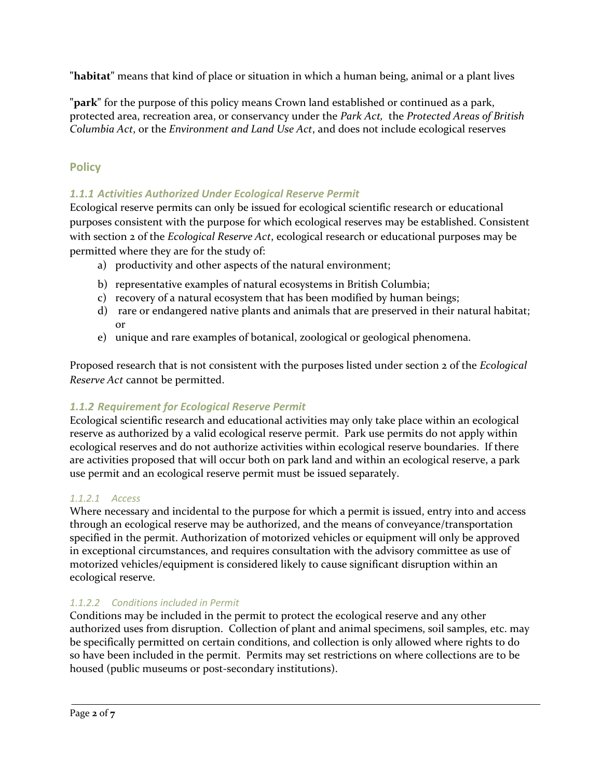**"habitat"** means that kind of place or situation in which a human being, animal or a plant lives

**"park"** for the purpose of this policy means Crown land established or continued as a park, protected area, recreation area, or conservancy under the *Park Act,* the *Protected Areas of British Columbia Act*, or the *Environment and Land Use Act*, and does not include ecological reserves

## **Policy**

### *1.1.1 Activities Authorized Under Ecological Reserve Permit*

Ecological reserve permits can only be issued for ecological scientific research or educational purposes consistent with the purpose for which ecological reserves may be established. Consistent with section 2 of the *Ecological Reserve Act*, ecological research or educational purposes may be permitted where they are for the study of:

- a) productivity and other aspects of the natural environment;
- b) representative examples of natural ecosystems in British Columbia;
- c) recovery of a natural ecosystem that has been modified by human beings;
- d) rare or endangered native plants and animals that are preserved in their natural habitat; or
- e) unique and rare examples of botanical, zoological or geological phenomena.

Proposed research that is not consistent with the purposes listed under section 2 of the *Ecological Reserve Act* cannot be permitted.

### *1.1.2 Requirement for Ecological Reserve Permit*

Ecological scientific research and educational activities may only take place within an ecological reserve as authorized by a valid ecological reserve permit. Park use permits do not apply within ecological reserves and do not authorize activities within ecological reserve boundaries. If there are activities proposed that will occur both on park land and within an ecological reserve, a park use permit and an ecological reserve permit must be issued separately.

### *1.1.2.1 Access*

Where necessary and incidental to the purpose for which a permit is issued, entry into and access through an ecological reserve may be authorized, and the means of conveyance/transportation specified in the permit. Authorization of motorized vehicles or equipment will only be approved in exceptional circumstances, and requires consultation with the advisory committee as use of motorized vehicles/equipment is considered likely to cause significant disruption within an ecological reserve.

## *1.1.2.2 Conditions included in Permit*

Conditions may be included in the permit to protect the ecological reserve and any other authorized uses from disruption. Collection of plant and animal specimens, soil samples, etc. may be specifically permitted on certain conditions, and collection is only allowed where rights to do so have been included in the permit. Permits may set restrictions on where collections are to be housed (public museums or post-secondary institutions).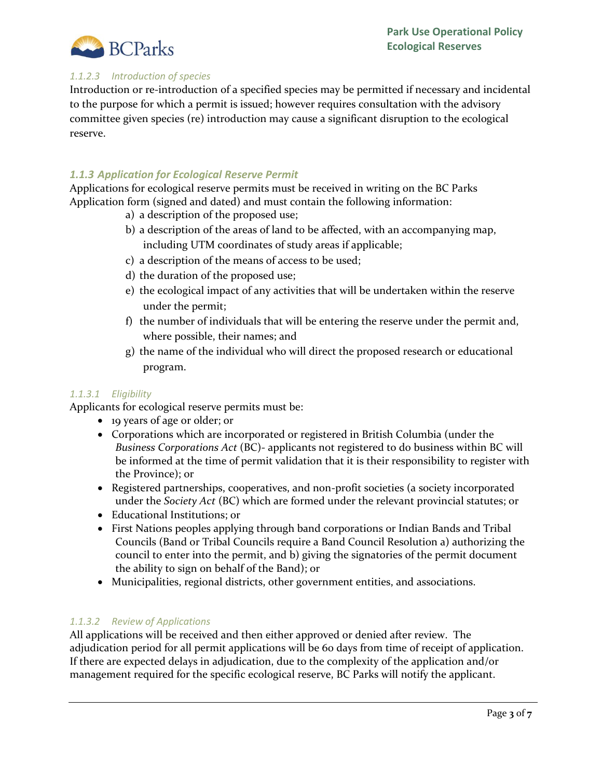

### *1.1.2.3 Introduction of species*

Introduction or re-introduction of a specified species may be permitted if necessary and incidental to the purpose for which a permit is issued; however requires consultation with the advisory committee given species (re) introduction may cause a significant disruption to the ecological reserve.

### *1.1.3 Application for Ecological Reserve Permit*

Applications for ecological reserve permits must be received in writing on the BC Parks Application form (signed and dated) and must contain the following information:

- a) a description of the proposed use;
- b) a description of the areas of land to be affected, with an accompanying map, including UTM coordinates of study areas if applicable;
- c) a description of the means of access to be used;
- d) the duration of the proposed use;
- e) the ecological impact of any activities that will be undertaken within the reserve under the permit;
- f) the number of individuals that will be entering the reserve under the permit and, where possible, their names; and
- g) the name of the individual who will direct the proposed research or educational program.

#### *1.1.3.1 Eligibility*

Applicants for ecological reserve permits must be:

- 19 years of age or older; or
- Corporations which are incorporated or registered in British Columbia (under the *Business Corporations Act* (BC)- applicants not registered to do business within BC will be informed at the time of permit validation that it is their responsibility to register with the Province); or
- Registered partnerships, cooperatives, and non-profit societies (a society incorporated under the *Society Act* (BC) which are formed under the relevant provincial statutes; or
- Educational Institutions; or
- First Nations peoples applying through band corporations or Indian Bands and Tribal Councils (Band or Tribal Councils require a Band Council Resolution a) authorizing the council to enter into the permit, and b) giving the signatories of the permit document the ability to sign on behalf of the Band); or
- Municipalities, regional districts, other government entities, and associations.

#### *1.1.3.2 Review of Applications*

All applications will be received and then either approved or denied after review. The adjudication period for all permit applications will be 60 days from time of receipt of application. If there are expected delays in adjudication, due to the complexity of the application and/or management required for the specific ecological reserve, BC Parks will notify the applicant.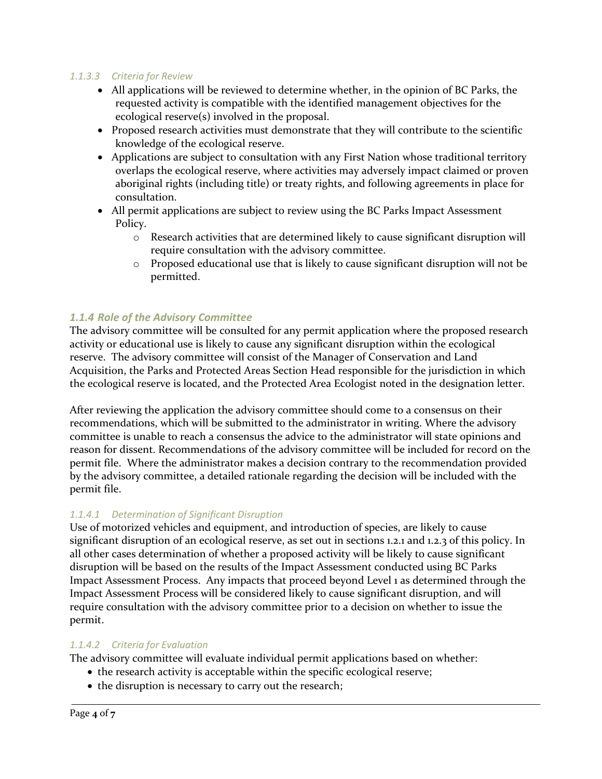### *1.1.3.3 Criteria for Review*

- All applications will be reviewed to determine whether, in the opinion of BC Parks, the requested activity is compatible with the identified management objectives for the ecological reserve(s) involved in the proposal.
- Proposed research activities must demonstrate that they will contribute to the scientific knowledge of the ecological reserve.
- Applications are subject to consultation with any First Nation whose traditional territory overlaps the ecological reserve, where activities may adversely impact claimed or proven aboriginal rights (including title) or treaty rights, and following agreements in place for consultation.
- All permit applications are subject to review using the BC Parks Impact Assessment Policy.
	- o Research activities that are determined likely to cause significant disruption will require consultation with the advisory committee.
	- o Proposed educational use that is likely to cause significant disruption will not be permitted.

### *1.1.4 Role of the Advisory Committee*

The advisory committee will be consulted for any permit application where the proposed research activity or educational use is likely to cause any significant disruption within the ecological reserve. The advisory committee will consist of the Manager of Conservation and Land Acquisition, the Parks and Protected Areas Section Head responsible for the jurisdiction in which the ecological reserve is located, and the Protected Area Ecologist noted in the designation letter.

After reviewing the application the advisory committee should come to a consensus on their recommendations, which will be submitted to the administrator in writing. Where the advisory committee is unable to reach a consensus the advice to the administrator will state opinions and reason for dissent. Recommendations of the advisory committee will be included for record on the permit file. Where the administrator makes a decision contrary to the recommendation provided by the advisory committee, a detailed rationale regarding the decision will be included with the permit file.

#### *1.1.4.1 Determination of Significant Disruption*

Use of motorized vehicles and equipment, and introduction of species, are likely to cause significant disruption of an ecological reserve, as set out in sections 1.2.1 and 1.2.3 of this policy. In all other cases determination of whether a proposed activity will be likely to cause significant disruption will be based on the results of the Impact Assessment conducted using BC Parks Impact Assessment Process. Any impacts that proceed beyond Level 1 as determined through the Impact Assessment Process will be considered likely to cause significant disruption, and will require consultation with the advisory committee prior to a decision on whether to issue the permit.

#### *1.1.4.2 Criteria for Evaluation*

The advisory committee will evaluate individual permit applications based on whether:

- the research activity is acceptable within the specific ecological reserve;
- the disruption is necessary to carry out the research;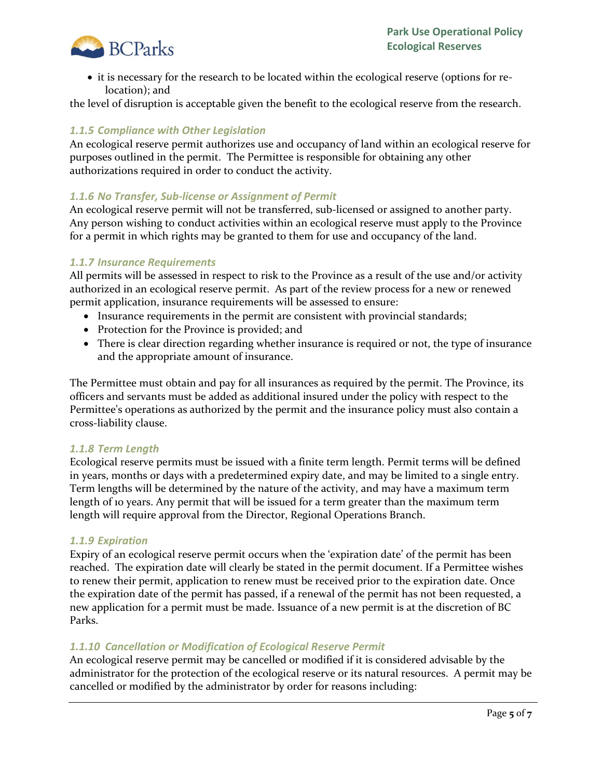

• it is necessary for the research to be located within the ecological reserve (options for relocation); and

the level of disruption is acceptable given the benefit to the ecological reserve from the research.

### *1.1.5 Compliance with Other Legislation*

An ecological reserve permit authorizes use and occupancy of land within an ecological reserve for purposes outlined in the permit. The Permittee is responsible for obtaining any other authorizations required in order to conduct the activity.

### *1.1.6 No Transfer, Sub-license or Assignment of Permit*

An ecological reserve permit will not be transferred, sub-licensed or assigned to another party. Any person wishing to conduct activities within an ecological reserve must apply to the Province for a permit in which rights may be granted to them for use and occupancy of the land.

### *1.1.7 Insurance Requirements*

All permits will be assessed in respect to risk to the Province as a result of the use and/or activity authorized in an ecological reserve permit. As part of the review process for a new or renewed permit application, insurance requirements will be assessed to ensure:

- Insurance requirements in the permit are consistent with provincial standards;
- Protection for the Province is provided; and
- There is clear direction regarding whether insurance is required or not, the type of insurance and the appropriate amount of insurance.

The Permittee must obtain and pay for all insurances as required by the permit. The Province, its officers and servants must be added as additional insured under the policy with respect to the Permittee's operations as authorized by the permit and the insurance policy must also contain a cross-liability clause.

#### *1.1.8 Term Length*

Ecological reserve permits must be issued with a finite term length. Permit terms will be defined in years, months or days with a predetermined expiry date, and may be limited to a single entry. Term lengths will be determined by the nature of the activity, and may have a maximum term length of 10 years. Any permit that will be issued for a term greater than the maximum term length will require approval from the Director, Regional Operations Branch.

#### *1.1.9 Expiration*

Expiry of an ecological reserve permit occurs when the 'expiration date' of the permit has been reached. The expiration date will clearly be stated in the permit document. If a Permittee wishes to renew their permit, application to renew must be received prior to the expiration date. Once the expiration date of the permit has passed, if a renewal of the permit has not been requested, a new application for a permit must be made. Issuance of a new permit is at the discretion of BC Parks.

### *1.1.10 Cancellation or Modification of Ecological Reserve Permit*

An ecological reserve permit may be cancelled or modified if it is considered advisable by the administrator for the protection of the ecological reserve or its natural resources. A permit may be cancelled or modified by the administrator by order for reasons including: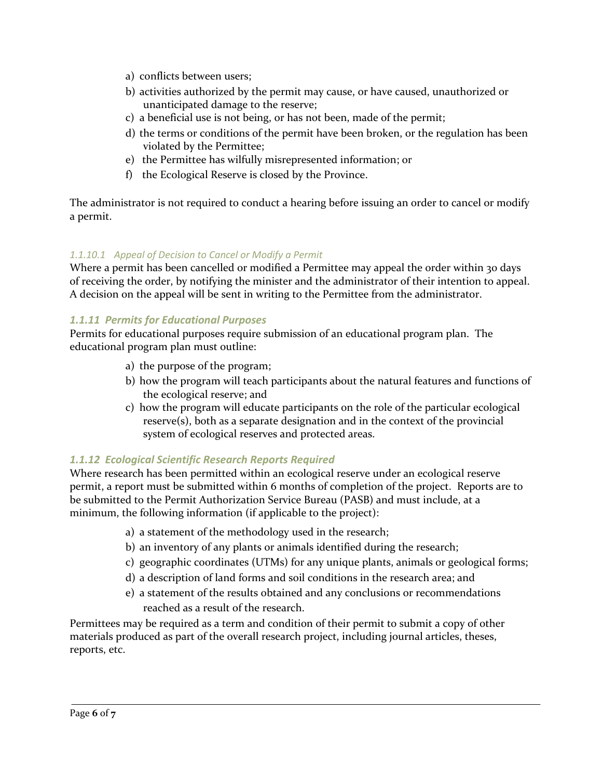- a) conflicts between users;
- b) activities authorized by the permit may cause, or have caused, unauthorized or unanticipated damage to the reserve;
- c) a beneficial use is not being, or has not been, made of the permit;
- d) the terms or conditions of the permit have been broken, or the regulation has been violated by the Permittee;
- e) the Permittee has wilfully misrepresented information; or
- f) the Ecological Reserve is closed by the Province.

The administrator is not required to conduct a hearing before issuing an order to cancel or modify a permit.

### *1.1.10.1 Appeal of Decision to Cancel or Modify a Permit*

Where a permit has been cancelled or modified a Permittee may appeal the order within 30 days of receiving the order, by notifying the minister and the administrator of their intention to appeal. A decision on the appeal will be sent in writing to the Permittee from the administrator.

## *1.1.11 Permits for Educational Purposes*

Permits for educational purposes require submission of an educational program plan. The educational program plan must outline:

- a) the purpose of the program;
- b) how the program will teach participants about the natural features and functions of the ecological reserve; and
- c) how the program will educate participants on the role of the particular ecological reserve(s), both as a separate designation and in the context of the provincial system of ecological reserves and protected areas.

## *1.1.12 Ecological Scientific Research Reports Required*

Where research has been permitted within an ecological reserve under an ecological reserve permit, a report must be submitted within 6 months of completion of the project. Reports are to be submitted to the Permit Authorization Service Bureau (PASB) and must include, at a minimum, the following information (if applicable to the project):

- a) a statement of the methodology used in the research;
- b) an inventory of any plants or animals identified during the research;
- c) geographic coordinates (UTMs) for any unique plants, animals or geological forms;
- d) a description of land forms and soil conditions in the research area; and
- e) a statement of the results obtained and any conclusions or recommendations reached as a result of the research.

Permittees may be required as a term and condition of their permit to submit a copy of other materials produced as part of the overall research project, including journal articles, theses, reports, etc.